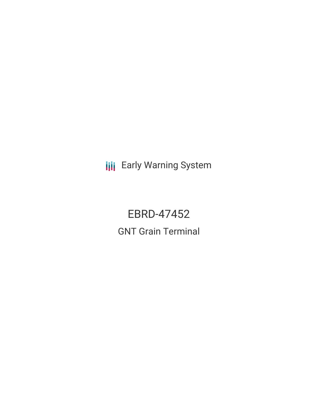**III** Early Warning System

# EBRD-47452 GNT Grain Terminal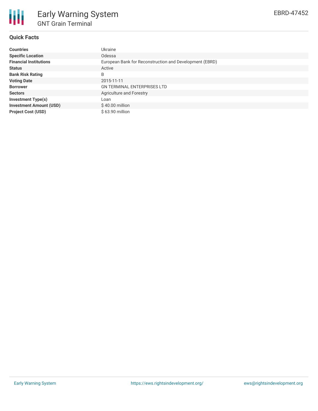

### **Quick Facts**

| <b>Countries</b>               | Ukraine                                                 |
|--------------------------------|---------------------------------------------------------|
| <b>Specific Location</b>       | Odessa                                                  |
| <b>Financial Institutions</b>  | European Bank for Reconstruction and Development (EBRD) |
| <b>Status</b>                  | Active                                                  |
| <b>Bank Risk Rating</b>        | B                                                       |
| <b>Voting Date</b>             | 2015-11-11                                              |
| <b>Borrower</b>                | <b>GN TERMINAL ENTERPRISES LTD</b>                      |
| <b>Sectors</b>                 | <b>Agriculture and Forestry</b>                         |
| <b>Investment Type(s)</b>      | Loan                                                    |
| <b>Investment Amount (USD)</b> | $$40.00$ million                                        |
| <b>Project Cost (USD)</b>      | \$63.90 million                                         |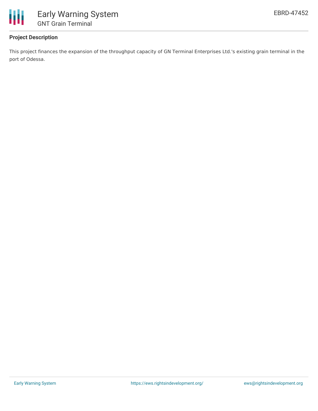

## **Project Description**

This project finances the expansion of the throughput capacity of GN Terminal Enterprises Ltd.'s existing grain terminal in the port of Odessa.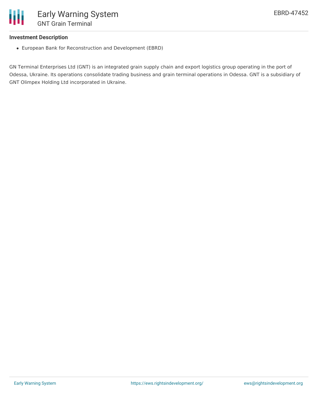

#### **Investment Description**

European Bank for Reconstruction and Development (EBRD)

GN Terminal Enterprises Ltd (GNT) is an integrated grain supply chain and export logistics group operating in the port of Odessa, Ukraine. Its operations consolidate trading business and grain terminal operations in Odessa. GNT is a subsidiary of GNT Olimpex Holding Ltd incorporated in Ukraine.